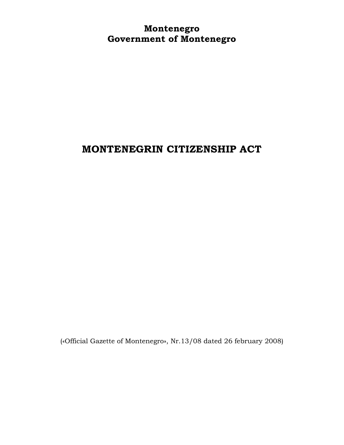**Montenegro Government of Montenegro**

# **MONTENEGRIN CITIZENSHIP ACT**

(«Official Gazette of Montenegro», Nr.13/08 dated 26 february 2008)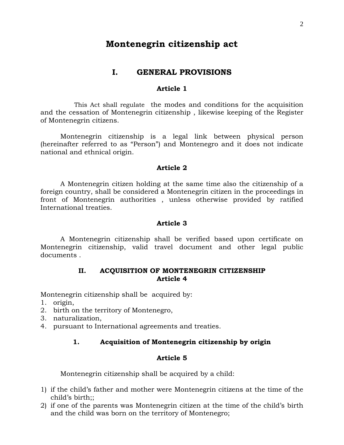# **Montenegrin citizenship act**

# **I. GENERAL PROVISIONS**

# **Article 1**

 This Act shall regulate the modes and conditions for the acquisition and the cessation of Montenegrin citizenship , likewise keeping of the Register of Montenegrin citizens.

Montenegrin citizenship is a legal link between physical person (hereinafter referred to as "Person") and Montenegro and it does not indicate national and ethnical origin.

# **Article 2**

A Montenegrin citizen holding at the same time also the citizenship of a foreign country, shall be considered a Montenegrin citizen in the proceedings in front of Montenegrin authorities , unless otherwise provided by ratified International treaties.

# **Article 3**

A Montenegrin citizenship shall be verified based upon certificate on Montenegrin citizenship, valid travel document and other legal public documents .

# **II. ACQUISITION OF MONTENEGRIN CITIZENSHIP Article 4**

Montenegrin citizenship shall be acquired by:

- 1. origin,
- 2. birth on the territory of Montenegro,
- 3. naturalization,
- 4. pursuant to International agreements and treaties.

# **1. Acquisition of Montenegrin citizenship by origin**

# **Article 5**

Montenegrin citizenship shall be acquired by a child:

- 1) if the child's father and mother were Montenegrin citizens at the time of the child's birth;;
- 2) if one of the parents was Montenegrin citizen at the time of the child's birth and the child was born on the territory of Montenegro;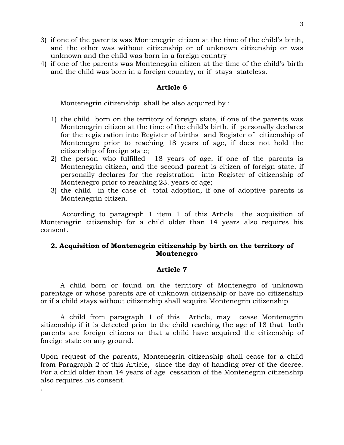- 3) if one of the parents was Montenegrin citizen at the time of the child's birth, and the other was without citizenship or of unknown citizenship or was unknown and the child was born in a foreign country
- 4) if one of the parents was Montenegrin citizen at the time of the child's birth and the child was born in a foreign country, or if stays stateless.

Montenegrin citizenship shall be also acquired by :

- 1) the child born on the territory of foreign state, if one of the parents was Montenegrin citizen at the time of the child's birth, if personally declares for the registration into Register of births and Register of citizenship of Montenegro prior to reaching 18 years of age, if does not hold the citizenship of foreign state;
- 2) the person who fulfilled 18 years of age, if one of the parents is Montenegrin citizen, and the second parent is citizen of foreign state, if personally declares for the registration into Register of citizenship of Montenegro prior to reaching 23. years of age;
- 3) the child in the case of total adoption, if one of adoptive parents is Montenegrin citizen.

 According to paragraph 1 item 1 of this Article the acquisition of Montenegrin citizenship for a child older than 14 years also requires his consent.

# **2. Acquisition of Montenegrin citizenship by birth on the territory of Montenegro**

# **Article 7**

A child born or found on the territory of Montenegro of unknown parentage or whose parents are of unknown citizenship or have no citizenship or if a child stays without citizenship shall acquire Montenegrin citizenship

A child from paragraph 1 of this Article, may cease Montenegrin sitizenship if it is detected prior to the child reaching the age of 18 that both parents are foreign citizens or that a child have acquired the citizenship of foreign state on any ground.

Upon request of the parents, Montenegrin citizenship shall cease for a child from Paragraph 2 of this Article, since the day of handing over of the decree. For a child older than 14 years of age cessation of the Montenegrin citizenship also requires his consent.

.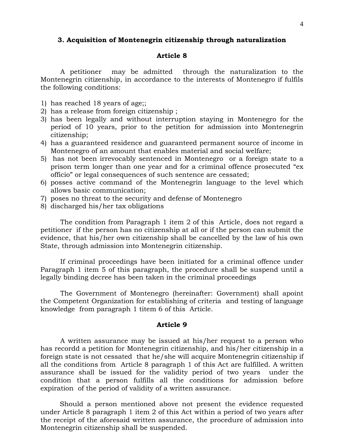### **3. Acquisition of Montenegrin citizenship through naturalization**

# **Article 8**

A petitioner may be admitted through the naturalization to the Montenegrin citizenship, in accordance to the interests of Montenegro if fulfils the following conditions:

- 1) has reached 18 years of age;;
- 2) has a release from foreign citizenship ;
- 3) has been legally and without interruption staying in Montenegro for the period of 10 years, prior to the petition for admission into Montenegrin citizenship;
- 4) has a guaranteed residence and guaranteed permanent source of income in Montenegro of an amount that enables material and social welfare;
- 5) has not been irrevocably sentenced in Montenegro or a foreign state to a prison term longer than one year and for a criminal offence prosecuted "ex officio" or legal consequences of such sentence are cessated;
- 6) posses active command of the Montenegrin language to the level which allows basic communication;
- 7) poses no threat to the security and defense of Montenegro
- 8) discharged his/her tax obligations

The condition from Paragraph 1 item 2 of this Article, does not regard a petitioner if the person has no citizenship at all or if the person can submit the evidence, that his/her own citizenship shall be cancelled by the law of his own State, through admission into Montenegrin citizenship.

If criminal proceedings have been initiated for a criminal offence under Paragraph 1 item 5 of this paragraph, the procedure shall be suspend until a legally binding decree has been taken in the criminal proceedings

The Government of Montenegro (hereinafter: Government) shall apoint the Competent Organization for establishing of criteria and testing of language knowledge from paragraph 1 titem 6 of this Article.

# **Article 9**

A written assurance may be issued at his/her request to a person who has recordd a petition for Montenegrin citizenship, and his/her citizenship in a foreign state is not cessated that he/she will acquire Montenegrin citizenship if all the conditions from Article 8 paragraph 1 of this Act are fulfilled. A written assurance shall be issued for the validity period of two years under the condition that a person fulfills all the conditions for admission before expiration of the period of validity of a written assurance.

 Should a person mentioned above not present the evidence requested under Article 8 paragraph 1 item 2 of this Act within a period of two years after the receipt of the aforesaid written assurance, the procedure of admission into Montenegrin citizenship shall be suspended.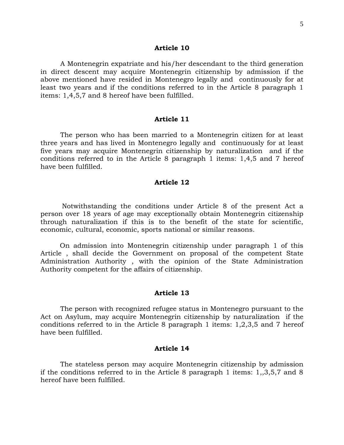A Montenegrin expatriate and his/her descendant to the third generation in direct descent may acquire Montenegrin citizenship by admission if the above mentioned have resided in Montenegro legally and continuously for at least two years and if the conditions referred to in the Article 8 paragraph 1 items: 1,4,5,7 and 8 hereof have been fulfilled.

### **Article 11**

The person who has been married to a Montenegrin citizen for at least three years and has lived in Montenegro legally and continuously for at least five years may acquire Montenegrin citizenship by naturalization and if the conditions referred to in the Article 8 paragraph 1 items: 1,4,5 and 7 hereof have been fulfilled.

# **Article 12**

 Notwithstanding the conditions under Article 8 of the present Act a person over 18 years of age may exceptionally obtain Montenegrin citizenship through naturalization if this is to the benefit of the state for scientific, economic, cultural, economic, sports national or similar reasons.

 On admission into Montenegrin citizenship under paragraph 1 of this Article , shall decide the Government on proposal of the competent State Administration Authority , with the opinion of the State Administration Authority competent for the affairs of citizenship.

#### **Article 13**

The person with recognized refugee status in Montenegro pursuant to the Act on Asylum, may acquire Montenegrin citizenship by naturalization if the conditions referred to in the Article 8 paragraph 1 items: 1,2,3,5 and 7 hereof have been fulfilled.

#### **Article 14**

The stateless person may acquire Montenegrin citizenship by admission if the conditions referred to in the Article 8 paragraph 1 items: 1,,3,5,7 and 8 hereof have been fulfilled.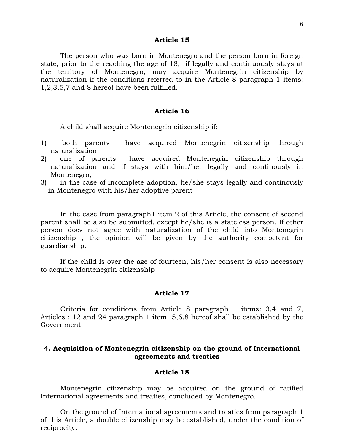The person who was born in Montenegro and the person born in foreign state, prior to the reaching the age of 18, if legally and continuously stays at the territory of Montenegro, may acquire Montenegrin citizenship by naturalization if the conditions referred to in the Article 8 paragraph 1 items: 1,2,3,5,7 and 8 hereof have been fulfilled.

# **Article 16**

A child shall acquire Montenegrin citizenship if:

- 1) both parents have acquired Montenegrin citizenship through naturalization;
- 2) one of parents have acquired Montenegrin citizenship through naturalization and if stays with him/her legally and continously in Montenegro;
- 3) in the case of incomplete adoption, he/she stays legally and continously in Montenegro with his/her adoptive parent

In the case from paragraph1 item 2 of this Article, the consent of second parent shall be also be submitted, except he/she is a stateless person. If other person does not agree with naturalization of the child into Montenegrin citizenship , the opinion will be given by the authority competent for guardianship.

If the child is over the age of fourteen, his/her consent is also necessary to acquire Montenegrin citizenship

### **Article 17**

Criteria for conditions from Article 8 paragraph 1 items: 3,4 and 7, Articles : 12 and 24 paragraph 1 item 5,6,8 hereof shall be established by the Government.

# **4. Acquisition of Montenegrin citizenship on the ground of International agreements and treaties**

### **Article 18**

Montenegrin citizenship may be acquired on the ground of ratified International agreements and treaties, concluded by Montenegro.

On the ground of International agreements and treaties from paragraph 1 of this Article, a double citizenship may be established, under the condition of reciprocity.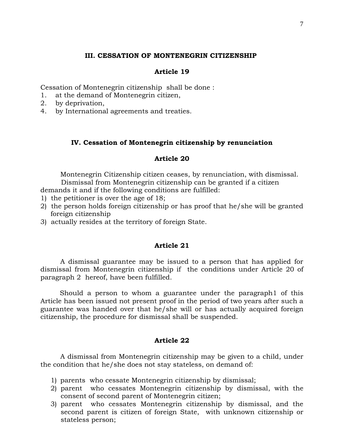# **III. CESSATION OF MONTENEGRIN CITIZENSHIP**

# **Article 19**

Cessation of Montenegrin citizenship shall be done :

- 1. at the demand of Montenegrin citizen,
- 2. by deprivation,
- 4. by International agreements and treaties.

### **IV. Cessation of Montenegrin citizenship by renunciation**

# **Article 20**

Montenegrin Citizenship citizen ceases, by renunciation, with dismissal. Dismissal from Montenegrin citizenship can be granted if a citizen demands it and if the following conditions are fulfilled:

- 1) the petitioner is over the age of 18;
- 2) the person holds foreign citizenship or has proof that he/she will be granted foreign citizenship
- 3) actually resides at the territory of foreign State.

# **Article 21**

A dismissal guarantee may be issued to a person that has applied for dismissal from Montenegrin citizenship if the conditions under Article 20 of paragraph 2 hereof, have been fulfilled.

 Should a person to whom a guarantee under the paragraph1 of this Article has been issued not present proof in the period of two years after such a guarantee was handed over that he/she will or has actually acquired foreign citizenship, the procedure for dismissal shall be suspended.

# **Article 22**

A dismissal from Montenegrin citizenship may be given to a child, under the condition that he/she does not stay stateless, on demand of:

- 1) parents who cessate Montenegrin citizenship by dismissal;
- 2) parent who cessates Montenegrin citizenship by dismissal, with the consent of second parent of Montenegrin citizen;
- 3) parent who cessates Montenegrin citizenship by dismissal, and the second parent is citizen of foreign State, with unknown citizenship or stateless person;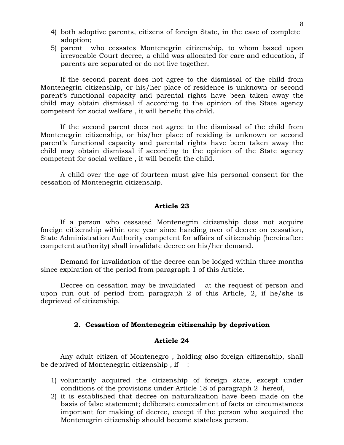- 4) both adoptive parents, citizens of foreign State, in the case of complete adoption;
- 5) parent who cessates Montenegrin citizenship, to whom based upon irrevocable Court decree, a child was allocated for care and education, if parents are separated or do not live together.

If the second parent does not agree to the dismissal of the child from Montenegrin citizenship, or his/her place of residence is unknown or second parent's functional capacity and parental rights have been taken away the child may obtain dismissal if according to the opinion of the State agency competent for social welfare , it will benefit the child.

If the second parent does not agree to the dismissal of the child from Montenegrin citizenship, or his/her place of residing is unknown or second parent's functional capacity and parental rights have been taken away the child may obtain dismissal if according to the opinion of the State agency competent for social welfare , it will benefit the child.

A child over the age of fourteen must give his personal consent for the cessation of Montenegrin citizenship.

### **Article 23**

If a person who cessated Montenegrin citizenship does not acquire foreign citizenship within one year since handing over of decree on cessation, State Administration Authority competent for affairs of citizenship (hereinafter: competent authority) shall invalidate decree on his/her demand.

Demand for invalidation of the decree can be lodged within three months since expiration of the period from paragraph 1 of this Article.

Decree on cessation may be invalidated at the request of person and upon run out of period from paragraph 2 of this Article, 2, if he/she is deprieved of citizenship.

# **2. Cessation of Montenegrin citizenship by deprivation**

# **Article 24**

Any adult citizen of Montenegro , holding also foreign citizenship, shall be deprived of Montenegrin citizenship, if  $\cdot$ :

- 1) voluntarily acquired the citizenship of foreign state, except under conditions of the provisions under Article 18 of paragraph 2 hereof,
- 2) it is established that decree on naturalization have been made on the basis of false statement; deliberate concealment of facts or circumstances important for making of decree, except if the person who acquired the Montenegrin citizenship should become stateless person.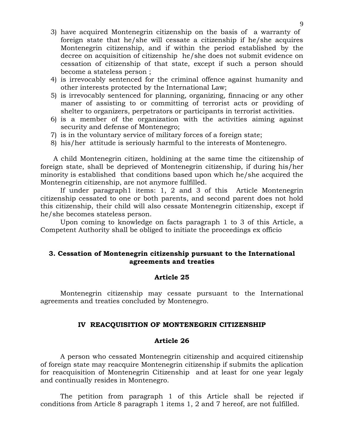- 3) have acquired Montenegrin citizenship on the basis of a warranty of foreign state that he/she will cessate a citizenship if he/she acquires Montenegrin citizenship, and if within the period established by the decree on acquisition of citizenship he/she does not submit evidence on cessation of citizenship of that state, except if such a person should become a stateless person ;
- 4) is irrevocably sentenced for the criminal offence against humanity and other interests protected by the International Law;
- 5) is irrevocably sentenced for planning, organizing, finnacing or any other maner of assisting to or committing of terrorist acts or providing of shelter to organizers, perpetrators or participants in terrorist activities.
- 6) is a member of the organization with the activities aiming against security and defense of Montenegro;
- 7) is in the voluntary service of military forces of a foreign state;
- 8) his/her attitude is seriously harmful to the interests of Montenegro.

 A child Montenegrin citizen, holdining at the same time the citizenship of foreign state, shall be deprieved of Montenegrin citizenship, if during his/her minority is established that conditions based upon which he/she acquired the Montenegrin citizenship, are not anymore fulfilled.

If under paragraph1 items: 1, 2 and 3 of this Article Montenegrin citizenship cessated to one or both parents, and second parent does not hold this citizenship, their child will also cessate Montenegrin citizenship, except if he/she becomes stateless person.

Upon coming to knowledge on facts paragraph 1 to 3 of this Article, a Competent Authority shall be obliged to initiate the proceedings ex officio

# **3. Cessation of Montenegrin citizenship pursuant to the International agreements and treaties**

# **Article 25**

Montenegrin citizenship may cessate pursuant to the International agreements and treaties concluded by Montenegro.

# **IV REACQUISITION OF MONTENEGRIN CITIZENSHIP**

# **Article 26**

A person who cessated Montenegrin citizenship and acquired citizenship of foreign state may reacquire Montenegrin citizenship if submits the aplication for reacquisition of Montenegrin Citizenship and at least for one year legaly and continually resides in Montenegro.

The petition from paragraph 1 of this Article shall be rejected if conditions from Article 8 paragraph 1 items 1, 2 and 7 hereof, are not fulfilled.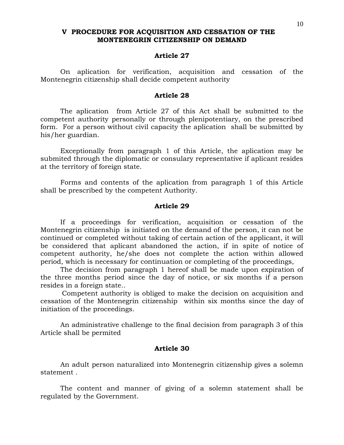# **V PROCEDURE FOR ACQUISITION AND CESSATION OF THE MONTENEGRIN CITIZENSHIP ON DEMAND**

# **Article 27**

On aplication for verification, acquisition and cessation of the Montenegrin citizenship shall decide competent authority

### **Article 28**

The aplication from Article 27 of this Act shall be submitted to the competent authority personally or through plenipotentiary, on the prescribed form. For a person without civil capacity the aplication shall be submitted by his/her guardian.

Exceptionally from paragraph 1 of this Article, the aplication may be submited through the diplomatic or consulary representative if aplicant resides at the territory of foreign state.

Forms and contents of the aplication from paragraph 1 of this Article shall be prescribed by the competent Authority.

### **Article 29**

If a proceedings for verification, acquisition or cessation of the Montenegrin citizenship is initiated on the demand of the person, it can not be continued or completed without taking of certain action of the applicant, it will be considered that aplicant abandoned the action, if in spite of notice of competent authority, he/she does not complete the action within allowed period, which is necessary for continuation or completing of the proceedings,

The decision from paragraph 1 hereof shall be made upon expiration of the three months period since the day of notice, or six months if a person resides in a foreign state..

 Competent authority is obliged to make the decision on acquisition and cessation of the Montenegrin citizenship within six months since the day of initiation of the proceedings.

An administrative challenge to the final decision from paragraph 3 of this Article shall be permited

# **Article 30**

An adult person naturalized into Montenegrin citizenship gives a solemn statement .

The content and manner of giving of a solemn statement shall be regulated by the Government.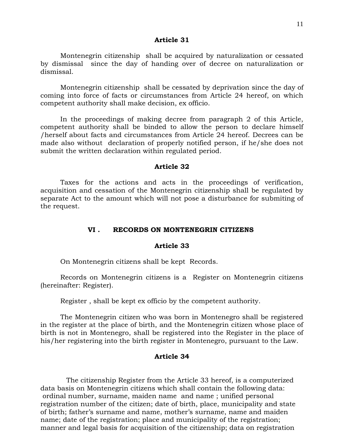Montenegrin citizenship shall be acquired by naturalization or cessated by dismissal since the day of handing over of decree on naturalization or dismissal.

Montenegrin citizenship shall be cessated by deprivation since the day of coming into force of facts or circumstances from Article 24 hereof, on which competent authority shall make decision, ex officio.

In the proceedings of making decree from paragraph 2 of this Article, competent authority shall be binded to allow the person to declare himself /herself about facts and circumstances from Article 24 hereof. Decrees can be made also without declaration of properly notified person, if he/she does not submit the written declaration within regulated period.

# **Article 32**

Taxes for the actions and acts in the proceedings of verification, acquisition and cessation of the Montenegrin citizenship shall be regulated by separate Act to the amount which will not pose a disturbance for submiting of the request.

# **VI . RECORDS ON MONTENEGRIN CITIZENS**

### **Article 33**

On Montenegrin citizens shall be kept Records.

Records on Montenegrin citizens is a Register on Montenegrin citizens (hereinafter: Register).

Register , shall be kept ex officio by the competent authority.

The Montenegrin citizen who was born in Montenegro shall be registered in the register at the place of birth, and the Montenegrin citizen whose place of birth is not in Montenegro, shall be registered into the Register in the place of his/her registering into the birth register in Montenegro, pursuant to the Law.

# **Article 34**

 The citizenship Register from the Article 33 hereof, is a computerized data basis on Montenegrin citizens which shall contain the following data: ordinal number, surname, maiden name and name ; unified personal registration number of the citizen; date of birth, place, municipality and state of birth; father's surname and name, mother's surname, name and maiden name; date of the registration; place and municipality of the registration; manner and legal basis for acquisition of the citizenship; data on registration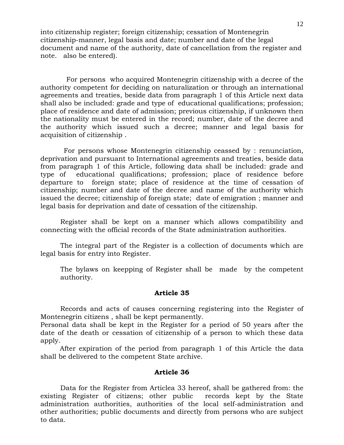into citizenship register; foreign citizenship; cessation of Montenegrin citizenship-manner, legal basis and date; number and date of the legal document and name of the authority, date of cancellation from the register and note. also be entered).

 For persons who acquired Montenegrin citizenship with a decree of the authority competent for deciding on naturalization or through an international agreements and treaties, beside data from paragraph 1 of this Article next data shall also be included: grade and type of educational qualifications; profession; place of residence and date of admission; previous citizenship, if unknown then the nationality must be entered in the record; number, date of the decree and the authority which issued such a decree; manner and legal basis for acquisition of citizenship .

 For persons whose Montenegrin citizenship ceassed by : renunciation, deprivation and pursuant to International agreements and treaties, beside data from paragraph 1 of this Article, following data shall be included: grade and type of educational qualifications; profession; place of residence before departure to foreign state; place of residence at the time of cessation of citizenship; number and date of the decree and name of the authority which issued the decree; citizenship of foreign state; date of emigration ; manner and legal basis for deprivation and date of cessation of the citizenship.

Register shall be kept on a manner which allows compatibility and connecting with the official records of the State administration authorities.

The integral part of the Register is a collection of documents which are legal basis for entry into Register.

The bylaws on keepping of Register shall be made by the competent authority.

### **Article 35**

Records and acts of causes concerning registering into the Register of Montenegrin citizens , shall be kept permanently.

Personal data shall be kept in the Register for a period of 50 years after the date of the death or cessation of citizenship of a person to which these data apply.

 After expiration of the period from paragraph 1 of this Article the data shall be delivered to the competent State archive.

### **Article 36**

Data for the Register from Articlea 33 hereof, shall be gathered from: the existing Register of citizens; other public records kept by the State administration authorities, authorities of the local self-administration and other authorities; public documents and directly from persons who are subject to data.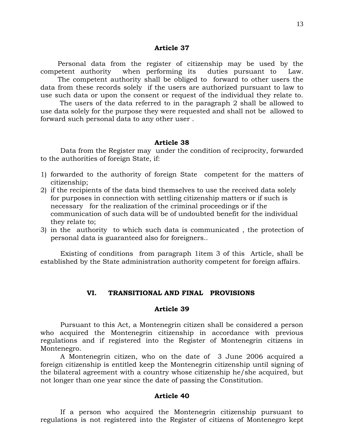Personal data from the register of citizenship may be used by the competent authority when performing its duties pursuant to Law. The competent authority shall be obliged to forward to other users the data from these records solely if the users are authorized pursuant to law to use such data or upon the consent or request of the individual they relate to.

 The users of the data referred to in the paragraph 2 shall be allowed to use data solely for the purpose they were requested and shall not be allowed to forward such personal data to any other user .

### **Article 38**

Data from the Register may under the condition of reciprocity, forwarded to the authorities of foreign State, if:

- 1) forwarded to the authority of foreign State competent for the matters of citizenship;
- 2) if the recipients of the data bind themselves to use the received data solely for purposes in connection with settling citizenship matters or if such is necessary for the realization of the criminal proceedings or if the communication of such data will be of undoubted benefit for the individual they relate to;
- 3) in the authority to which such data is communicated , the protection of personal data is guaranteed also for foreigners..

Existing of conditions from paragraph 1item 3 of this Article, shall be established by the State administration authority competent for foreign affairs.

### **VI. TRANSITIONAL AND FINAL PROVISIONS**

# **Article 39**

Pursuant to this Act, a Montenegrin citizen shall be considered a person who acquired the Montenegrin citizenship in accordance with previous regulations and if registered into the Register of Montenegrin citizens in Montenegro.

A Montenegrin citizen, who on the date of 3 June 2006 acquired a foreign citizenship is entitled keep the Montenegrin citizenship until signing of the bilateral agreement with a country whose citizenship he/she acquired, but not longer than one year since the date of passing the Constitution.

# **Article 40**

If a person who acquired the Montenegrin citizenship pursuant to regulations is not registered into the Register of citizens of Montenegro kept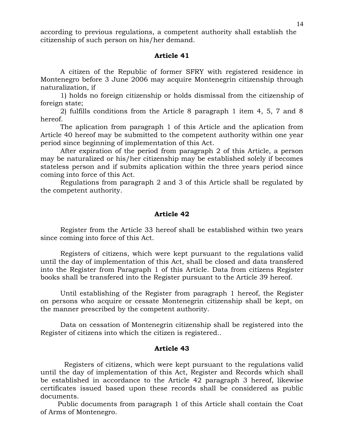according to previous regulations, a competent authority shall establish the citizenship of such person on his/her demand.

# **Article 41**

A citizen of the Republic of former SFRY with registered residence in Montenegro before 3 June 2006 may acquire Montenegrin citizenship through naturalization, if

1) holds no foreign citizenship or holds dismissal from the citizenship of foreign state;

2) fulfills conditions from the Article 8 paragraph 1 item 4, 5, 7 and 8 hereof.

The aplication from paragraph 1 of this Article and the aplication from Article 40 hereof may be submitted to the competent authority within one year period since beginning of implementation of this Act.

After expiration of the period from paragraph 2 of this Article, a person may be naturalized or his/her citizenship may be established solely if becomes stateless person and if submits aplication within the three years period since coming into force of this Act.

Regulations from paragraph 2 and 3 of this Article shall be regulated by the competent authority.

# **Article 42**

Register from the Article 33 hereof shall be established within two years since coming into force of this Act.

Registers of citizens, which were kept pursuant to the regulations valid until the day of implementation of this Act, shall be closed and data transfered into the Register from Paragraph 1 of this Article. Data from citizens Register books shall be transfered into the Register pursuant to the Article 39 hereof.

Until establishing of the Register from paragraph 1 hereof, the Register on persons who acquire or cessate Montenegrin citizenship shall be kept, on the manner prescribed by the competent authority.

Data on cessation of Montenegrin citizenship shall be registered into the Register of citizens into which the citizen is registered..

### **Article 43**

 Registers of citizens, which were kept pursuant to the regulations valid until the day of implementation of this Act, Register and Records which shall be established in accordance to the Article 42 paragraph 3 hereof, likewise certificates issued based upon these records shall be considered as public documents.

 Public documents from paragraph 1 of this Article shall contain the Coat of Arms of Montenegro.